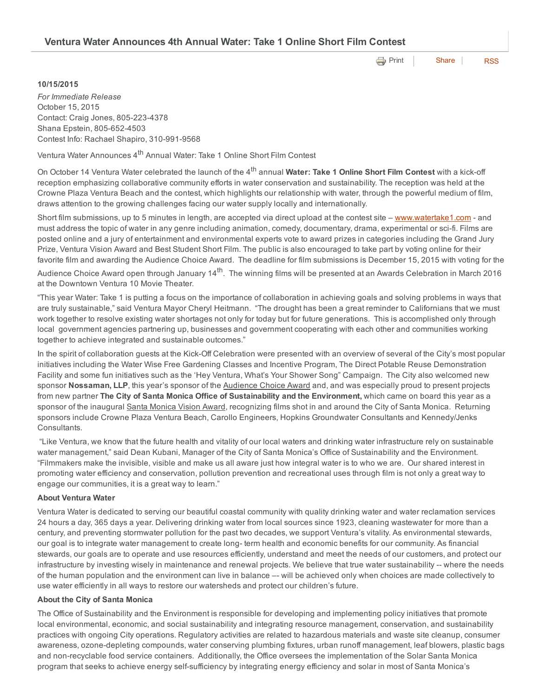**e** [Print](http://www.cityofventura.net/print/17172) | [Share](javascript:void(0)) | [RSS](http://www.cityofventura.net/feed/press_release/rss.xml)

## 10/15/2015

*For Immediate Release* October 15, 2015 Contact: Craig Jones, 805-223-4378 Shana Epstein, 805-652-4503 Contest Info: Rachael Shapiro, 310-991-9568

Ventura Water Announces 4<sup>th</sup> Annual Water: Take 1 Online Short Film Contest

On October 14 Ventura Water celebrated the launch of the 4<sup>th</sup> annual Water: Take 1 Online Short Film Contest with a kick-off reception emphasizing collaborative community efforts in water conservation and sustainability. The reception was held at the Crowne Plaza Ventura Beach and the contest, which highlights our relationship with water, through the powerful medium of film, draws attention to the growing challenges facing our water supply locally and internationally.

Short film submissions, up to 5 minutes in length, are accepted via direct upload at the contest site – [www.watertake1.com](http://www.watertake1.com/) - and must address the topic of water in any genre including animation, comedy, documentary, drama, experimental or scifi. Films are posted online and a jury of entertainment and environmental experts vote to award prizes in categories including the Grand Jury Prize, Ventura Vision Award and Best Student Short Film. The public is also encouraged to take part by voting online for their favorite film and awarding the Audience Choice Award. The deadline for film submissions is December 15, 2015 with voting for the

Audience Choice Award open through January 14<sup>th</sup>. The winning films will be presented at an Awards Celebration in March 2016 at the Downtown Ventura 10 Movie Theater.

"This year Water: Take 1 is putting a focus on the importance of collaboration in achieving goals and solving problems in ways that are truly sustainable," said Ventura Mayor Cheryl Heitmann. "The drought has been a great reminder to Californians that we must work together to resolve existing water shortages not only for today but for future generations. This is accomplished only through local government agencies partnering up, businesses and government cooperating with each other and communities working together to achieve integrated and sustainable outcomes."

In the spirit of collaboration guests at the Kick-Off Celebration were presented with an overview of several of the City's most popular initiatives including the Water Wise Free Gardening Classes and Incentive Program, The Direct Potable Reuse Demonstration Facility and some fun initiatives such as the 'Hey Ventura, What's Your Shower Song" Campaign. The City also welcomed new sponsor Nossaman, LLP, this year's sponsor of the Audience Choice Award and, and was especially proud to present projects from new partner The City of Santa Monica Office of Sustainability and the Environment, which came on board this year as a sponsor of the inaugural Santa Monica Vision Award, recognizing films shot in and around the City of Santa Monica. Returning sponsors include Crowne Plaza Ventura Beach, Carollo Engineers, Hopkins Groundwater Consultants and Kennedy/Jenks Consultants.

"Like Ventura, we know that the future health and vitality of our local waters and drinking water infrastructure rely on sustainable water management," said Dean Kubani, Manager of the City of Santa Monica's Office of Sustainability and the Environment. "Filmmakers make the invisible, visible and make us all aware just how integral water is to who we are. Our shared interest in promoting water efficiency and conservation, pollution prevention and recreational uses through film is not only a great way to engage our communities, it is a great way to learn."

## About Ventura Water

Ventura Water is dedicated to serving our beautiful coastal community with quality drinking water and water reclamation services 24 hours a day, 365 days a year. Delivering drinking water from local sources since 1923, cleaning wastewater for more than a century, and preventing stormwater pollution for the past two decades, we support Ventura's vitality. As environmental stewards, our goal is to integrate water management to create long- term health and economic benefits for our community. As financial stewards, our goals are to operate and use resources efficiently, understand and meet the needs of our customers, and protect our infrastructure by investing wisely in maintenance and renewal projects. We believe that true water sustainability -- where the needs of the human population and the environment can live in balance – will be achieved only when choices are made collectively to use water efficiently in all ways to restore our watersheds and protect our children's future.

## About the City of Santa Monica

The Office of Sustainability and the Environment is responsible for developing and implementing policy initiatives that promote local environmental, economic, and social sustainability and integrating resource management, conservation, and sustainability practices with ongoing City operations. Regulatory activities are related to hazardous materials and waste site cleanup, consumer awareness, ozone-depleting compounds, water conserving plumbing fixtures, urban runoff management, leaf blowers, plastic bags and non-recyclable food service containers. Additionally, the Office oversees the implementation of the Solar Santa Monica program that seeks to achieve energy selfsufficiency by integrating energy efficiency and solar in most of Santa Monica's